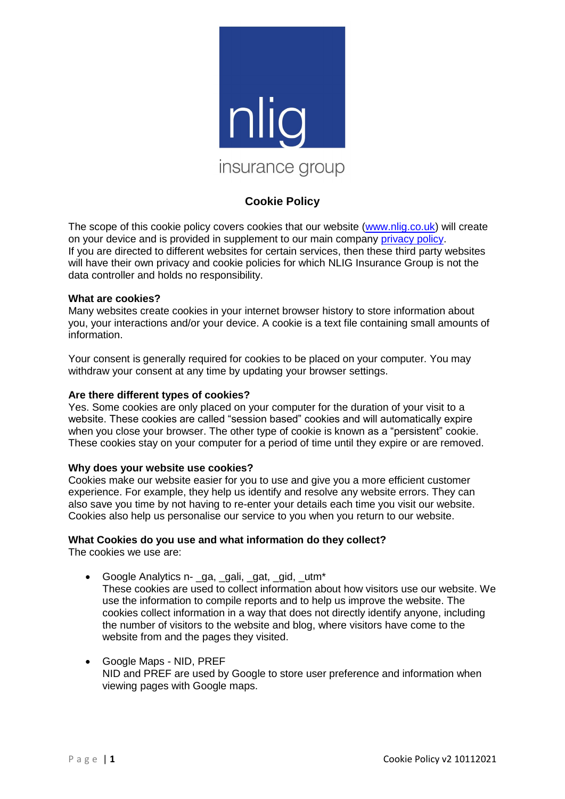

# **Cookie Policy**

The scope of this cookie policy covers cookies that our website [\(www.nlig.co.uk\)](http://www.nlig.co.uk/) will create on your device and is provided in supplement to our main company [privacy policy.](file://///TMDserver01/Compliance_folder_TMCD01_server/1.%20Rachel) If you are directed to different websites for certain services, then these third party websites will have their own privacy and cookie policies for which NLIG Insurance Group is not the data controller and holds no responsibility.

### **What are cookies?**

Many websites create cookies in your internet browser history to store information about you, your interactions and/or your device. A cookie is a text file containing small amounts of information.

Your consent is generally required for cookies to be placed on your computer. You may withdraw your consent at any time by updating your browser settings.

### **Are there different types of cookies?**

Yes. Some cookies are only placed on your computer for the duration of your visit to a website. These cookies are called "session based" cookies and will automatically expire when you close your browser. The other type of cookie is known as a "persistent" cookie. These cookies stay on your computer for a period of time until they expire or are removed.

### **Why does your website use cookies?**

Cookies make our website easier for you to use and give you a more efficient customer experience. For example, they help us identify and resolve any website errors. They can also save you time by not having to re-enter your details each time you visit our website. Cookies also help us personalise our service to you when you return to our website.

## **What Cookies do you use and what information do they collect?**

The cookies we use are:

- Google Analytics n- ga, gali, gat, gid, utm<sup>\*</sup> These cookies are used to collect information about how visitors use our website. We use the information to compile reports and to help us improve the website. The cookies collect information in a way that does not directly identify anyone, including the number of visitors to the website and blog, where visitors have come to the website from and the pages they visited.
- Google Maps NID, PREF NID and PREF are used by Google to store user preference and information when viewing pages with Google maps.